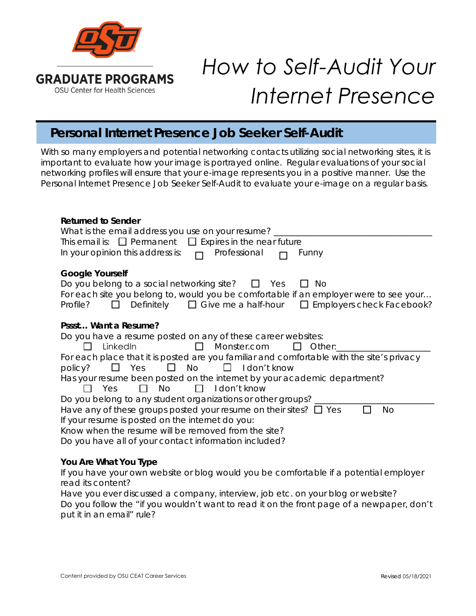

# *How to Self-Audit Your Internet Presence*

# **Personal Internet Presence Job Seeker Self-Audit**

With so many employers and potential networking contacts utilizing social networking sites, it is important to evaluate how your image is portrayed online. Regular evaluations of your social networking profiles will ensure that your e-image represents you in a positive manner. Use the Personal Internet Presence Job Seeker Self-Audit to evaluate your e-image on a regular basis.

| <b>Returned to Sender</b>                                                                 |
|-------------------------------------------------------------------------------------------|
| What is the email address you use on your resume?                                         |
| This email is: $\Box$ Permanent $\Box$ Expires in the near future                         |
| In your opinion this address is: $\Box$<br>Professional<br>Funny                          |
| <b>Google Yourself</b>                                                                    |
| Do you belong to a social networking site? $\Box$ Yes<br>No.                              |
| For each site you belong to, would you be comfortable if an employer were to see your     |
| $\Box$ Definitely $\Box$ Give me a half-hour $\Box$ Employers check Facebook?<br>Profile? |
|                                                                                           |
| Pssst Want a Resume?                                                                      |
| Do you have a resume posted on any of these career websites:                              |
| <b>Example 12 Monster.com</b><br>LinkedIn<br>$\Box$ Other:<br>$\mathsf{L}$                |
| For each place that it is posted are you familiar and comfortable with the site's privacy |
| $\Box$ Yes $\Box$ No $\Box$ I don't know<br>policy?                                       |
| Has your resume been posted on the internet by your academic department?                  |
| $\Box$ No<br>$\Box$ I don't know<br>II Yes                                                |
| Do you belong to any student organizations or other groups?                               |
| Have any of these groups posted your resume on their sites? $\Box$ Yes<br>No              |
| If your resume is posted on the internet do you:                                          |
| Know when the resume will be removed from the site?                                       |
| Do you have all of your contact information included?                                     |
|                                                                                           |
|                                                                                           |

## **You Are What You Type**

If you have your own website or blog would you be comfortable if a potential employer read its content?

| Have you ever discussed a company, interview, job etc. on your blog or website?           |
|-------------------------------------------------------------------------------------------|
| Do you follow the "if you wouldn't want to read it on the front page of a newpaper, don't |
| put it in an email" rule?                                                                 |